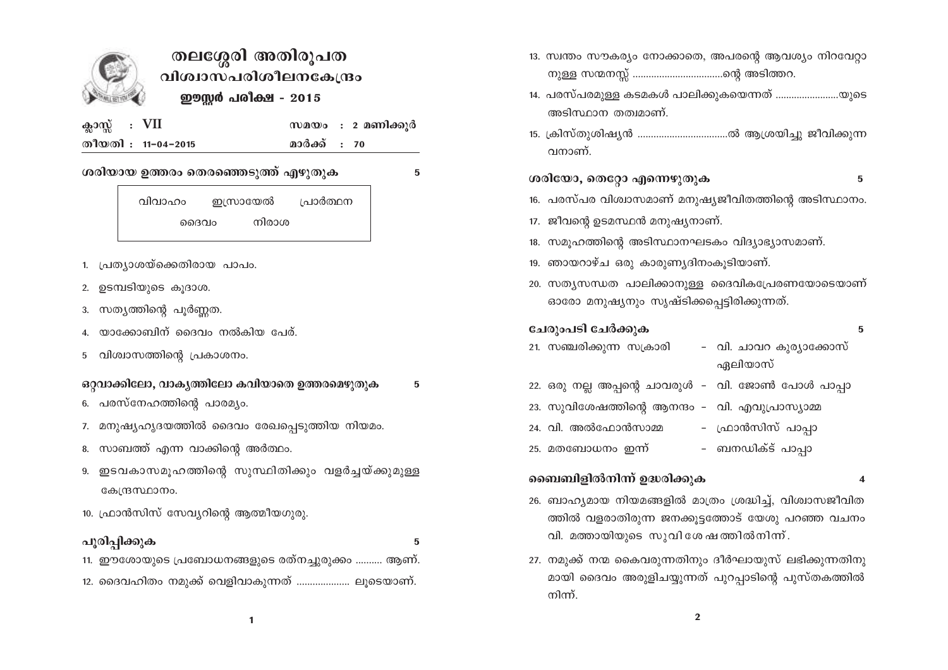

# തലശ്ശേരി അതിരൂപത വിശ്വാസപരിശീലനകേന്ദ്രം ഈസ്റ്റർ പരിക്ഷ - 2015

5

5

5

| ക്ലാസ്സ് : VII |                    |              | സമയം : 2 മണിക്കൂർ |
|----------------|--------------------|--------------|-------------------|
|                | തീയതി : 11-04-2015 | മാർക്ക് : 70 |                   |

## ശരിയായ ഉത്തരം തെരഞ്ഞെടുത്ത് എഴുതുക

വിവാഹം ഇസ്രായേൽ പ്രാർത്ഥന നിരാശ ദൈവം

- 1. പ്രത്യാശയ്ക്കെതിരായ പാപം.
- 2. ഉടമ്പടിയുടെ കൂദാശ.
- 3. സത്യത്തിന്റെ പുർണ്ണത.
- യാക്കോബിന് ദൈവം നൽകിയ പേര്.  $\overline{4}$ .
- വിശ്വാസത്തിന്റെ പ്രകാശനം. 5

# ഒറ്റവാക്കിലോ, വാകൃത്തിലോ കവിയാതെ ഉത്തരമെഴുതുക

- 6. പരസ്നേഹത്തിന്റെ പാരമ്യം.
- 7. മനുഷ്യഹൃദയത്തിൽ ദൈവം രേഖപ്പെടുത്തിയ നിയമം.
- 8. സാബത്ത് എന്ന വാക്കിന്റെ അർത്ഥം.
- 9. ഇടവകാസമൂഹത്തിന്റെ സുസ്ഥിതിക്കും വളർച്ചയ്ക്കുമുള്ള കേന്ദ്രസ്ഥാനം.
- 10. ഫ്രാൻസിസ് സേവ്യറിന്റെ ആത്മീയഗുരു.

## പൂരിപ്പിക്കുക

11. ഈശോയുടെ പ്രബോധനങ്ങളുടെ രത്നച്ചുരുക്കം .......... ആണ്. 12. ദൈവഹിതം നമുക്ക് വെളിവാകുന്നത് ..................... ലുടെയാണ്.

- 13. സ്വന്തം സൗകര്യം നോക്കാതെ, അപരന്റെ ആവശ്യം നിറവേറ്റാ
- 14. പരസ്പരമുള്ള കടമകൾ പാലിക്കുകയെന്നത് ......................യുടെ അടിസ്ഥാന തത്വമാണ്.
- 15. ക്രിസ്തുശിഷ്യൻ ...................................ൽ ആശ്രയിച്ചു ജീവിക്കുന്ന വനാണ്.

#### ശരിയോ, തെറ്റോ എന്നെഴുതുക 5

- 16. പരസ്പര വിശ്വാസമാണ് മനുഷ്യജീവിതത്തിന്റെ അടിസ്ഥാനം.
- 17. ജീവന്റെ ഉടമസ്ഥൻ മനുഷ്യനാണ്.
- 18. സമുഹത്തിന്റെ അടിസ്ഥാനഘടകം വിദ്യാഭ്യാസമാണ്.
- 19. ഞായറാഴ്ച ഒരു കാരുണ്യദിനംകൂടിയാണ്.
- 20. സത്യസന്ധത പാലിക്കാനുള്ള ദൈവികപ്രേരണയോടെയാണ് ഓരോ മനുഷ്യനും സൃഷ്ടിക്കപ്പെട്ടിരിക്കുന്നത്.

### ചേരുംപടി ചേർക്കുക

#### 5

- 21. സഞ്ചരിക്കുന്ന സക്രാരി – വി. ചാവറ കുര്യാക്കോസ് ഏലിയാസ്
- 22. ഒരു നല്ല അപ്പന്റെ ചാവരുൾ വി. ജോൺ പോൾ പാപ്പാ
- 23. സുവിശേഷത്തിന്റെ ആനന്ദം വി. എവുപ്രാസ്യാമ്മ
- 24. വി. അൽഫോൻസാമ്മ – ഫ്രാൻസിസ് പാപ്പാ
- ബനഡിക്ട് പാപ്പാ 25. മതബോധനം ഇന്ന്

# ബൈബിളിൽനിന്ന് ഉദ്ധരിക്കുക

#### $\Delta$

- 26. ബാഹ്യമായ നിയമങ്ങളിൽ മാത്രം ശ്രദ്ധിച്ച്, വിശ്വാസജീവിത ത്തിൽ വളരാതിരുന്ന ജനക്കുട്ടത്തോട് യേശു പറഞ്ഞ വചനം വി. മത്തായിയുടെ സുവി ശേഷത്തിൽനിന്ന്.
- 27. നമുക്ക് നന്മ കൈവരുന്നതിനും ദീർഘായുസ് ലഭിക്കുന്നതിനു മായി ദൈവം അരുളിചയ്യുന്നത് പുറപ്പാടിന്റെ പുസ്തകത്തിൽ നിന്ന്.